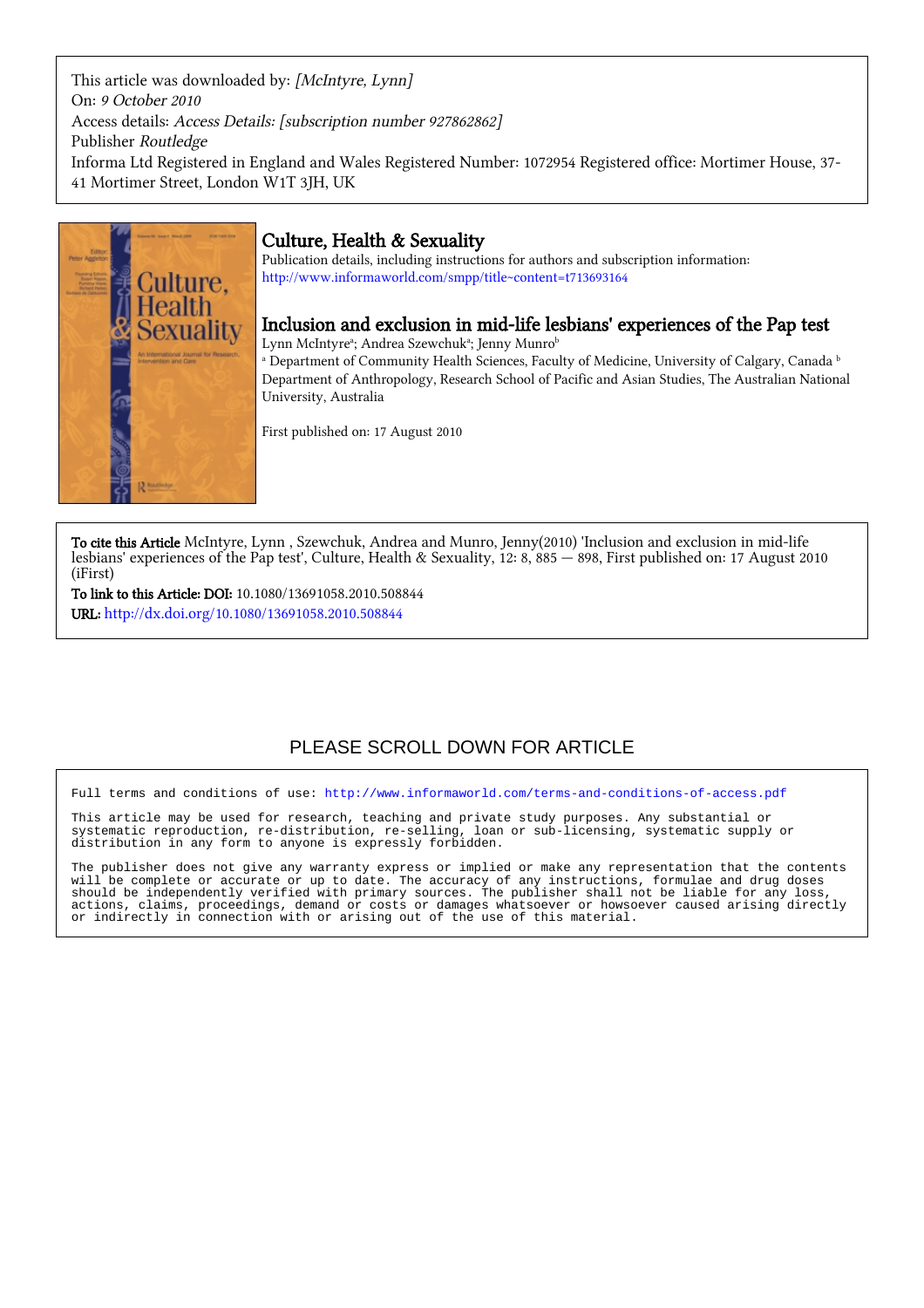This article was downloaded by: [McIntyre, Lynn] On: 9 October 2010 Access details: Access Details: [subscription number 927862862] Publisher Routledge Informa Ltd Registered in England and Wales Registered Number: 1072954 Registered office: Mortimer House, 37- 41 Mortimer Street, London W1T 3JH, UK



# Culture, Health & Sexuality

Publication details, including instructions for authors and subscription information: <http://www.informaworld.com/smpp/title~content=t713693164>

# Inclusion and exclusion in mid-life lesbians' experiences of the Pap test

Lynn McIntyreª; Andrea Szewchukª; Jenny Munroʰ <sup>a</sup> Department of Community Health Sciences, Faculty of Medicine, University of Calgary, Canada <sup>b</sup> Department of Anthropology, Research School of Pacific and Asian Studies, The Australian National University, Australia

First published on: 17 August 2010

To cite this Article McIntyre, Lynn , Szewchuk, Andrea and Munro, Jenny(2010) 'Inclusion and exclusion in mid-life lesbians' experiences of the Pap test', Culture, Health & Sexuality, 12: 8, 885 — 898, First published on: 17 August 2010 (iFirst)

To link to this Article: DOI: 10.1080/13691058.2010.508844 URL: <http://dx.doi.org/10.1080/13691058.2010.508844>

# PLEASE SCROLL DOWN FOR ARTICLE

Full terms and conditions of use:<http://www.informaworld.com/terms-and-conditions-of-access.pdf>

This article may be used for research, teaching and private study purposes. Any substantial or<br>systematic reproduction, re-distribution, re-selling, loan or sub-licensing, systematic supply or systematic reproduction, re-distribution, re-selling, loan or sub-licensing, systematic supply or distribution in any form to anyone is expressly forbidden.

The publisher does not give any warranty express or implied or make any representation that the contents will be complete or accurate or up to date. The accuracy of any instructions, formulae and drug doses should be independently verified with primary sources. The publisher shall not be liable for any loss, actions, claims, proceedings, demand or costs or damages whatsoever or howsoever caused arising directly or indirectly in connection with or arising out of the use of this material.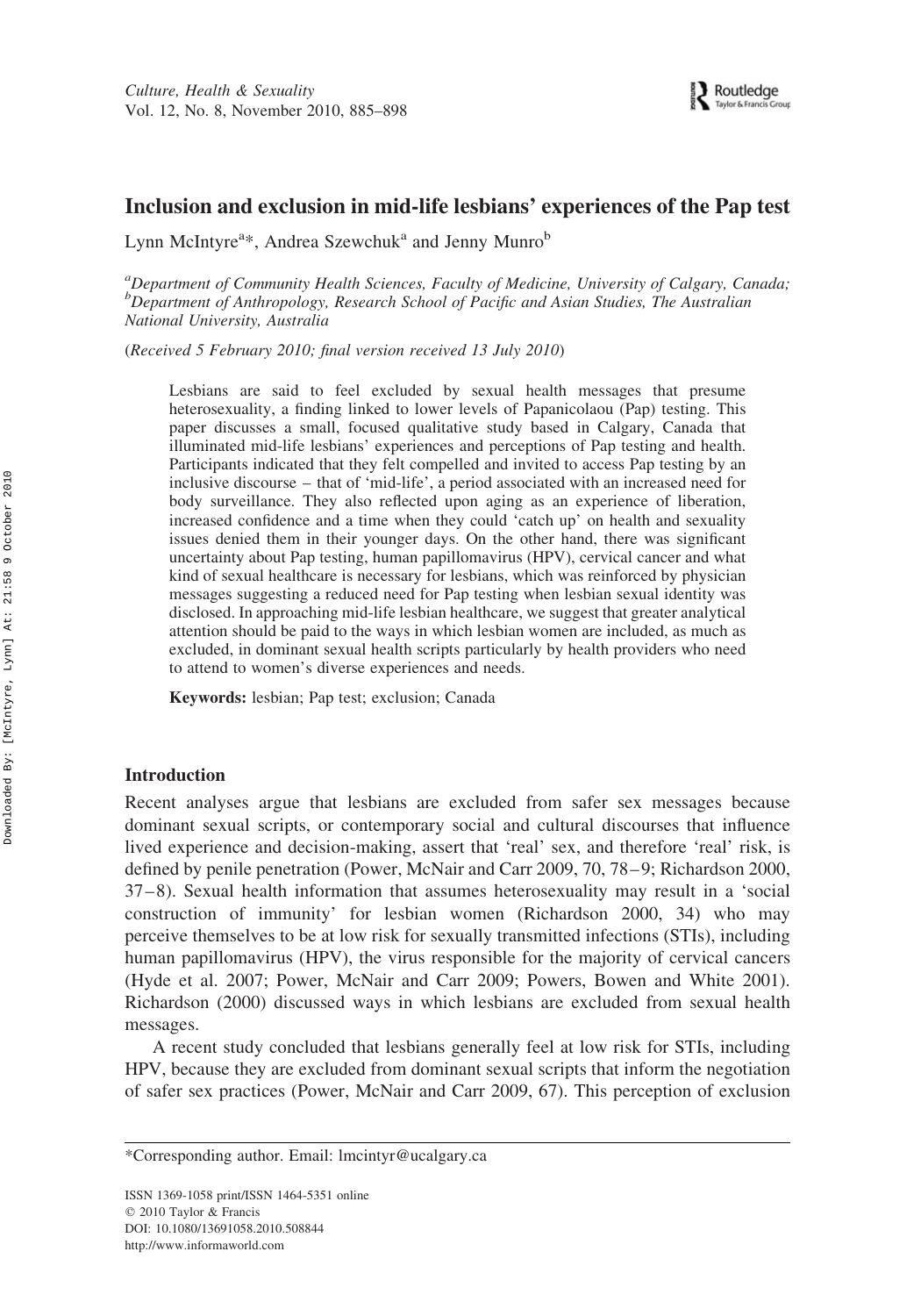# Inclusion and exclusion in mid-life lesbians' experiences of the Pap test

Lynn McIntyre<sup>a\*</sup>, Andrea Szewchuk<sup>a</sup> and Jenny Munro<sup>b</sup>

<sup>a</sup>Department of Community Health Sciences, Faculty of Medicine, University of Calgary, Canada; **b** Department of Anthropology, Research School of Pacific and Asian Studies, The Australian National University, Australia

(Received 5 February 2010; final version received 13 July 2010)

Lesbians are said to feel excluded by sexual health messages that presume heterosexuality, a finding linked to lower levels of Papanicolaou (Pap) testing. This paper discusses a small, focused qualitative study based in Calgary, Canada that illuminated mid-life lesbians' experiences and perceptions of Pap testing and health. Participants indicated that they felt compelled and invited to access Pap testing by an inclusive discourse – that of 'mid-life', a period associated with an increased need for body surveillance. They also reflected upon aging as an experience of liberation, increased confidence and a time when they could 'catch up' on health and sexuality issues denied them in their younger days. On the other hand, there was significant uncertainty about Pap testing, human papillomavirus (HPV), cervical cancer and what kind of sexual healthcare is necessary for lesbians, which was reinforced by physician messages suggesting a reduced need for Pap testing when lesbian sexual identity was disclosed. In approaching mid-life lesbian healthcare, we suggest that greater analytical attention should be paid to the ways in which lesbian women are included, as much as excluded, in dominant sexual health scripts particularly by health providers who need to attend to women's diverse experiences and needs.

Keywords: lesbian; Pap test; exclusion; Canada

#### Introduction

Recent analyses argue that lesbians are excluded from safer sex messages because dominant sexual scripts, or contemporary social and cultural discourses that influence lived experience and decision-making, assert that 'real' sex, and therefore 'real' risk, is defined by penile penetration (Power, McNair and Carr 2009, 70, 78–9; Richardson 2000, 37–8). Sexual health information that assumes heterosexuality may result in a 'social construction of immunity' for lesbian women (Richardson 2000, 34) who may perceive themselves to be at low risk for sexually transmitted infections (STIs), including human papillomavirus (HPV), the virus responsible for the majority of cervical cancers (Hyde et al. 2007; Power, McNair and Carr 2009; Powers, Bowen and White 2001). Richardson (2000) discussed ways in which lesbians are excluded from sexual health messages.

A recent study concluded that lesbians generally feel at low risk for STIs, including HPV, because they are excluded from dominant sexual scripts that inform the negotiation of safer sex practices (Power, McNair and Carr 2009, 67). This perception of exclusion

ISSN 1369-1058 print/ISSN 1464-5351 online © 2010 Taylor & Francis DOI: 10.1080/13691058.2010.508844 http://www.informaworld.com

<sup>\*</sup>Corresponding author. Email: lmcintyr@ucalgary.ca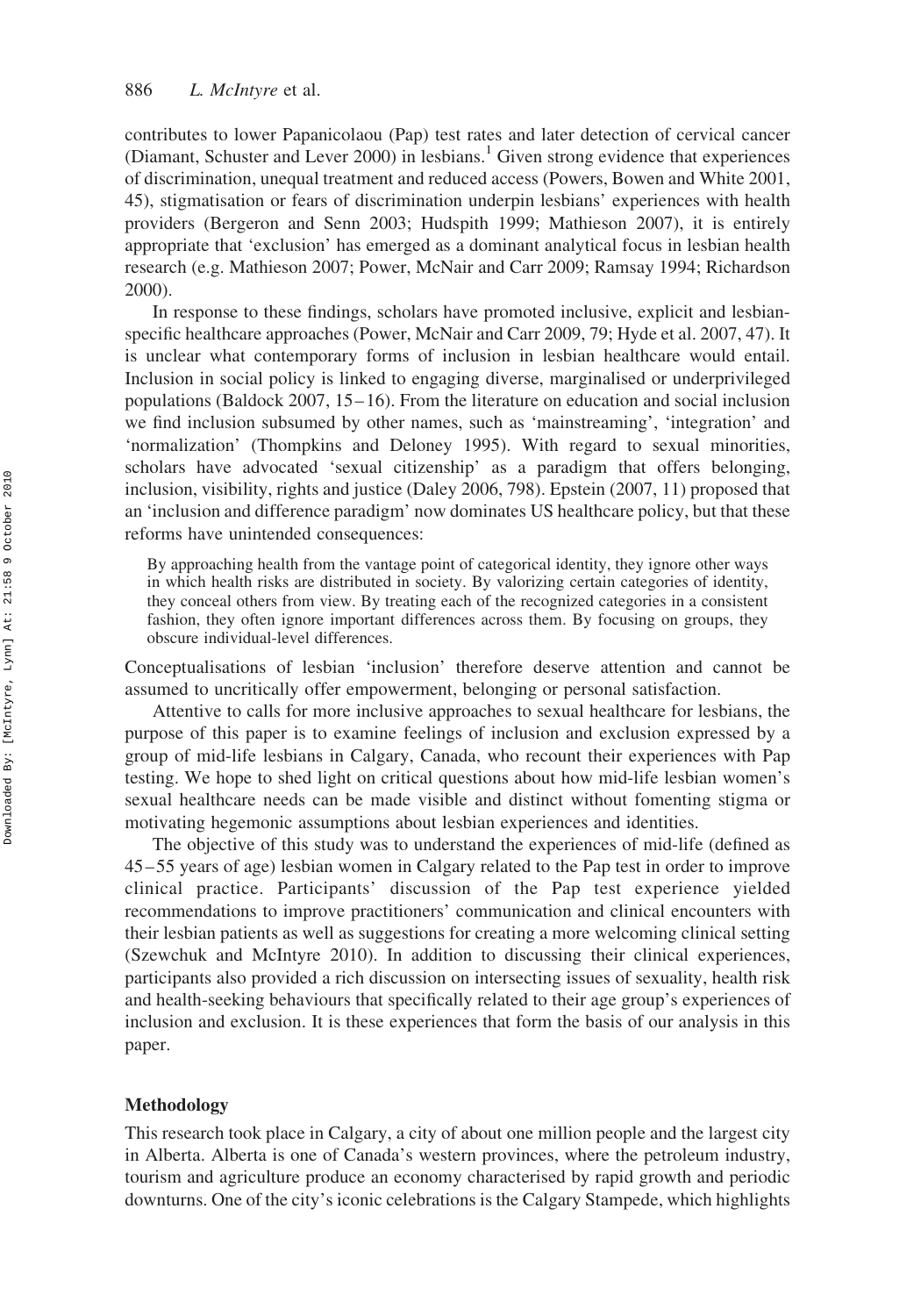contributes to lower Papanicolaou (Pap) test rates and later detection of cervical cancer (Diamant, Schuster and Lever 2000) in lesbians.<sup>1</sup> Given strong evidence that experiences of discrimination, unequal treatment and reduced access (Powers, Bowen and White 2001, 45), stigmatisation or fears of discrimination underpin lesbians' experiences with health providers (Bergeron and Senn 2003; Hudspith 1999; Mathieson 2007), it is entirely appropriate that 'exclusion' has emerged as a dominant analytical focus in lesbian health research (e.g. Mathieson 2007; Power, McNair and Carr 2009; Ramsay 1994; Richardson 2000).

In response to these findings, scholars have promoted inclusive, explicit and lesbianspecific healthcare approaches (Power, McNair and Carr 2009, 79; Hyde et al. 2007, 47). It is unclear what contemporary forms of inclusion in lesbian healthcare would entail. Inclusion in social policy is linked to engaging diverse, marginalised or underprivileged populations (Baldock 2007, 15–16). From the literature on education and social inclusion we find inclusion subsumed by other names, such as 'mainstreaming', 'integration' and 'normalization' (Thompkins and Deloney 1995). With regard to sexual minorities, scholars have advocated 'sexual citizenship' as a paradigm that offers belonging, inclusion, visibility, rights and justice (Daley 2006, 798). Epstein (2007, 11) proposed that an 'inclusion and difference paradigm' now dominates US healthcare policy, but that these reforms have unintended consequences:

By approaching health from the vantage point of categorical identity, they ignore other ways in which health risks are distributed in society. By valorizing certain categories of identity, they conceal others from view. By treating each of the recognized categories in a consistent fashion, they often ignore important differences across them. By focusing on groups, they obscure individual-level differences.

Conceptualisations of lesbian 'inclusion' therefore deserve attention and cannot be assumed to uncritically offer empowerment, belonging or personal satisfaction.

Attentive to calls for more inclusive approaches to sexual healthcare for lesbians, the purpose of this paper is to examine feelings of inclusion and exclusion expressed by a group of mid-life lesbians in Calgary, Canada, who recount their experiences with Pap testing. We hope to shed light on critical questions about how mid-life lesbian women's sexual healthcare needs can be made visible and distinct without fomenting stigma or motivating hegemonic assumptions about lesbian experiences and identities.

The objective of this study was to understand the experiences of mid-life (defined as 45–55 years of age) lesbian women in Calgary related to the Pap test in order to improve clinical practice. Participants' discussion of the Pap test experience yielded recommendations to improve practitioners' communication and clinical encounters with their lesbian patients as well as suggestions for creating a more welcoming clinical setting (Szewchuk and McIntyre 2010). In addition to discussing their clinical experiences, participants also provided a rich discussion on intersecting issues of sexuality, health risk and health-seeking behaviours that specifically related to their age group's experiences of inclusion and exclusion. It is these experiences that form the basis of our analysis in this paper.

#### Methodology

This research took place in Calgary, a city of about one million people and the largest city in Alberta. Alberta is one of Canada's western provinces, where the petroleum industry, tourism and agriculture produce an economy characterised by rapid growth and periodic downturns. One of the city's iconic celebrations is the Calgary Stampede, which highlights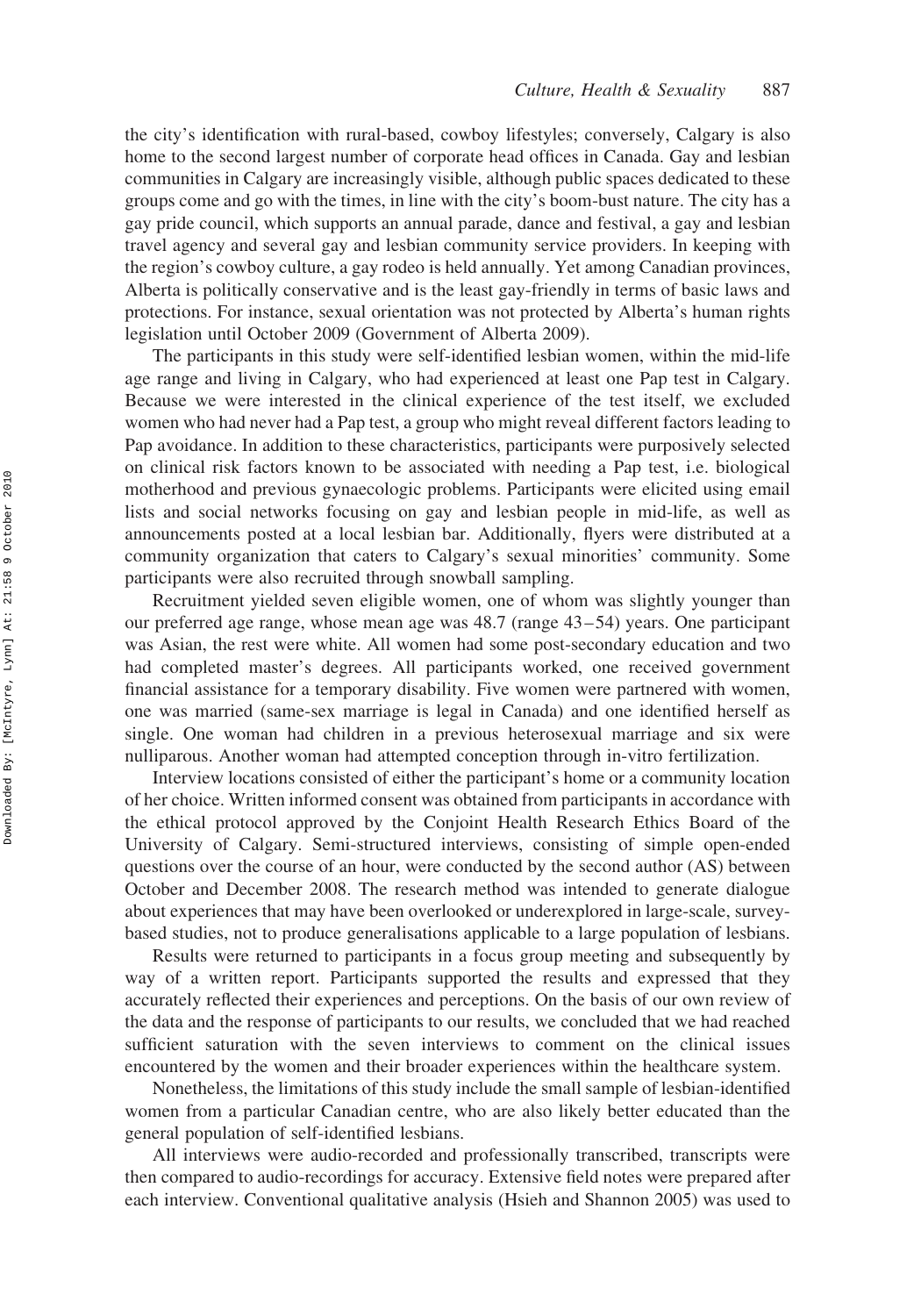the city's identification with rural-based, cowboy lifestyles; conversely, Calgary is also home to the second largest number of corporate head offices in Canada. Gay and lesbian communities in Calgary are increasingly visible, although public spaces dedicated to these groups come and go with the times, in line with the city's boom-bust nature. The city has a gay pride council, which supports an annual parade, dance and festival, a gay and lesbian travel agency and several gay and lesbian community service providers. In keeping with the region's cowboy culture, a gay rodeo is held annually. Yet among Canadian provinces, Alberta is politically conservative and is the least gay-friendly in terms of basic laws and protections. For instance, sexual orientation was not protected by Alberta's human rights legislation until October 2009 (Government of Alberta 2009).

The participants in this study were self-identified lesbian women, within the mid-life age range and living in Calgary, who had experienced at least one Pap test in Calgary. Because we were interested in the clinical experience of the test itself, we excluded women who had never had a Pap test, a group who might reveal different factors leading to Pap avoidance. In addition to these characteristics, participants were purposively selected on clinical risk factors known to be associated with needing a Pap test, i.e. biological motherhood and previous gynaecologic problems. Participants were elicited using email lists and social networks focusing on gay and lesbian people in mid-life, as well as announcements posted at a local lesbian bar. Additionally, flyers were distributed at a community organization that caters to Calgary's sexual minorities' community. Some participants were also recruited through snowball sampling.

Recruitment yielded seven eligible women, one of whom was slightly younger than our preferred age range, whose mean age was 48.7 (range 43–54) years. One participant was Asian, the rest were white. All women had some post-secondary education and two had completed master's degrees. All participants worked, one received government financial assistance for a temporary disability. Five women were partnered with women, one was married (same-sex marriage is legal in Canada) and one identified herself as single. One woman had children in a previous heterosexual marriage and six were nulliparous. Another woman had attempted conception through in-vitro fertilization.

Interview locations consisted of either the participant's home or a community location of her choice. Written informed consent was obtained from participants in accordance with the ethical protocol approved by the Conjoint Health Research Ethics Board of the University of Calgary. Semi-structured interviews, consisting of simple open-ended questions over the course of an hour, were conducted by the second author (AS) between October and December 2008. The research method was intended to generate dialogue about experiences that may have been overlooked or underexplored in large-scale, surveybased studies, not to produce generalisations applicable to a large population of lesbians.

Results were returned to participants in a focus group meeting and subsequently by way of a written report. Participants supported the results and expressed that they accurately reflected their experiences and perceptions. On the basis of our own review of the data and the response of participants to our results, we concluded that we had reached sufficient saturation with the seven interviews to comment on the clinical issues encountered by the women and their broader experiences within the healthcare system.

Nonetheless, the limitations of this study include the small sample of lesbian-identified women from a particular Canadian centre, who are also likely better educated than the general population of self-identified lesbians.

All interviews were audio-recorded and professionally transcribed, transcripts were then compared to audio-recordings for accuracy. Extensive field notes were prepared after each interview. Conventional qualitative analysis (Hsieh and Shannon 2005) was used to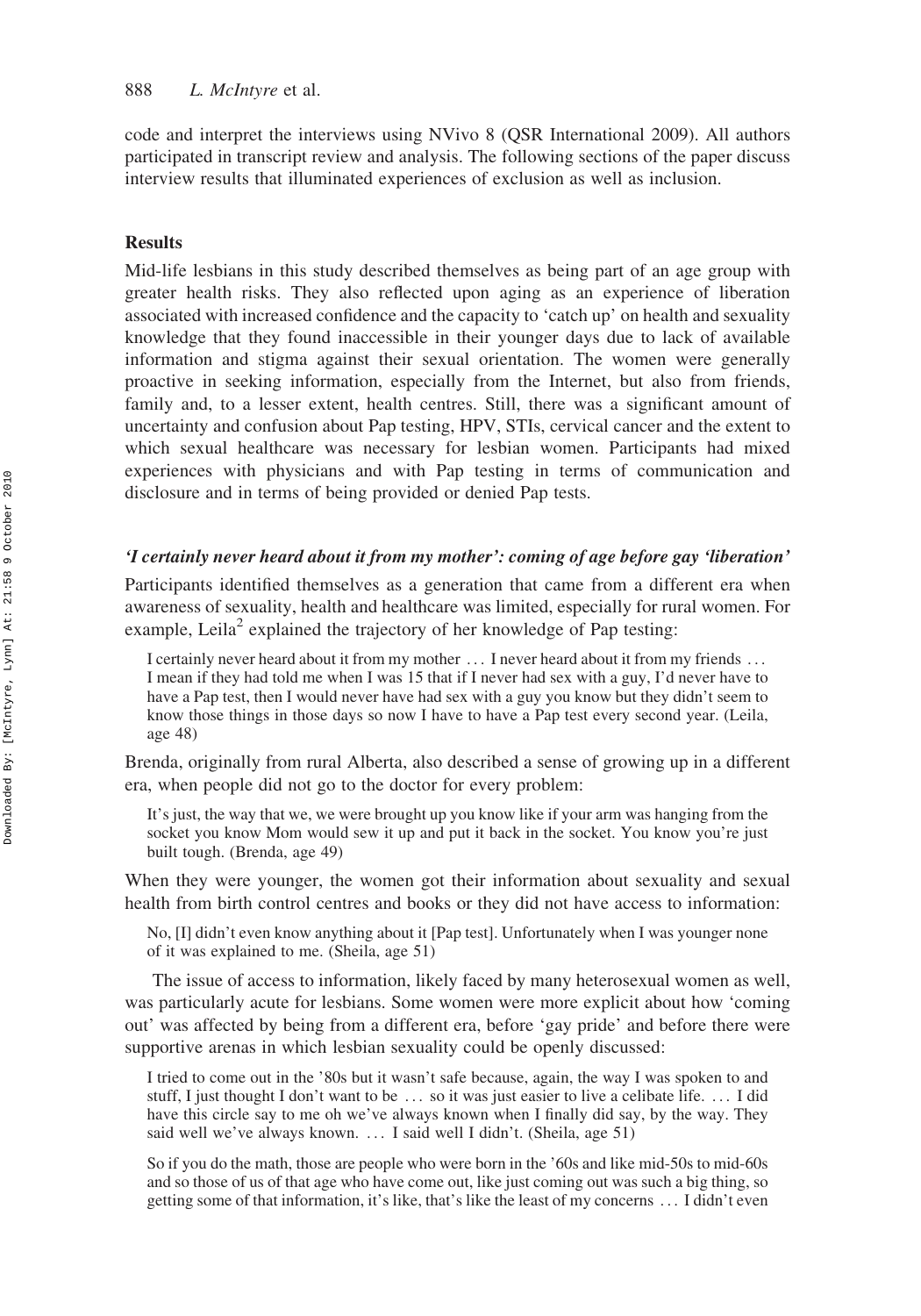code and interpret the interviews using NVivo 8 (QSR International 2009). All authors participated in transcript review and analysis. The following sections of the paper discuss interview results that illuminated experiences of exclusion as well as inclusion.

# Results

Mid-life lesbians in this study described themselves as being part of an age group with greater health risks. They also reflected upon aging as an experience of liberation associated with increased confidence and the capacity to 'catch up' on health and sexuality knowledge that they found inaccessible in their younger days due to lack of available information and stigma against their sexual orientation. The women were generally proactive in seeking information, especially from the Internet, but also from friends, family and, to a lesser extent, health centres. Still, there was a significant amount of uncertainty and confusion about Pap testing, HPV, STIs, cervical cancer and the extent to which sexual healthcare was necessary for lesbian women. Participants had mixed experiences with physicians and with Pap testing in terms of communication and disclosure and in terms of being provided or denied Pap tests.

# 'I certainly never heard about it from my mother': coming of age before gay 'liberation'

Participants identified themselves as a generation that came from a different era when awareness of sexuality, health and healthcare was limited, especially for rural women. For example, Leila<sup>2</sup> explained the trajectory of her knowledge of Pap testing:

I certainly never heard about it from my mother ... I never heard about it from my friends ... I mean if they had told me when I was 15 that if I never had sex with a guy, I'd never have to have a Pap test, then I would never have had sex with a guy you know but they didn't seem to know those things in those days so now I have to have a Pap test every second year. (Leila, age 48)

Brenda, originally from rural Alberta, also described a sense of growing up in a different era, when people did not go to the doctor for every problem:

It's just, the way that we, we were brought up you know like if your arm was hanging from the socket you know Mom would sew it up and put it back in the socket. You know you're just built tough. (Brenda, age 49)

When they were younger, the women got their information about sexuality and sexual health from birth control centres and books or they did not have access to information:

No, [I] didn't even know anything about it [Pap test]. Unfortunately when I was younger none of it was explained to me. (Sheila, age 51)

The issue of access to information, likely faced by many heterosexual women as well, was particularly acute for lesbians. Some women were more explicit about how 'coming out' was affected by being from a different era, before 'gay pride' and before there were supportive arenas in which lesbian sexuality could be openly discussed:

I tried to come out in the '80s but it wasn't safe because, again, the way I was spoken to and stuff, I just thought I don't want to be ... so it was just easier to live a celibate life. ... I did have this circle say to me oh we've always known when I finally did say, by the way. They said well we've always known. ... I said well I didn't. (Sheila, age 51)

So if you do the math, those are people who were born in the '60s and like mid-50s to mid-60s and so those of us of that age who have come out, like just coming out was such a big thing, so getting some of that information, it's like, that's like the least of my concerns ... I didn't even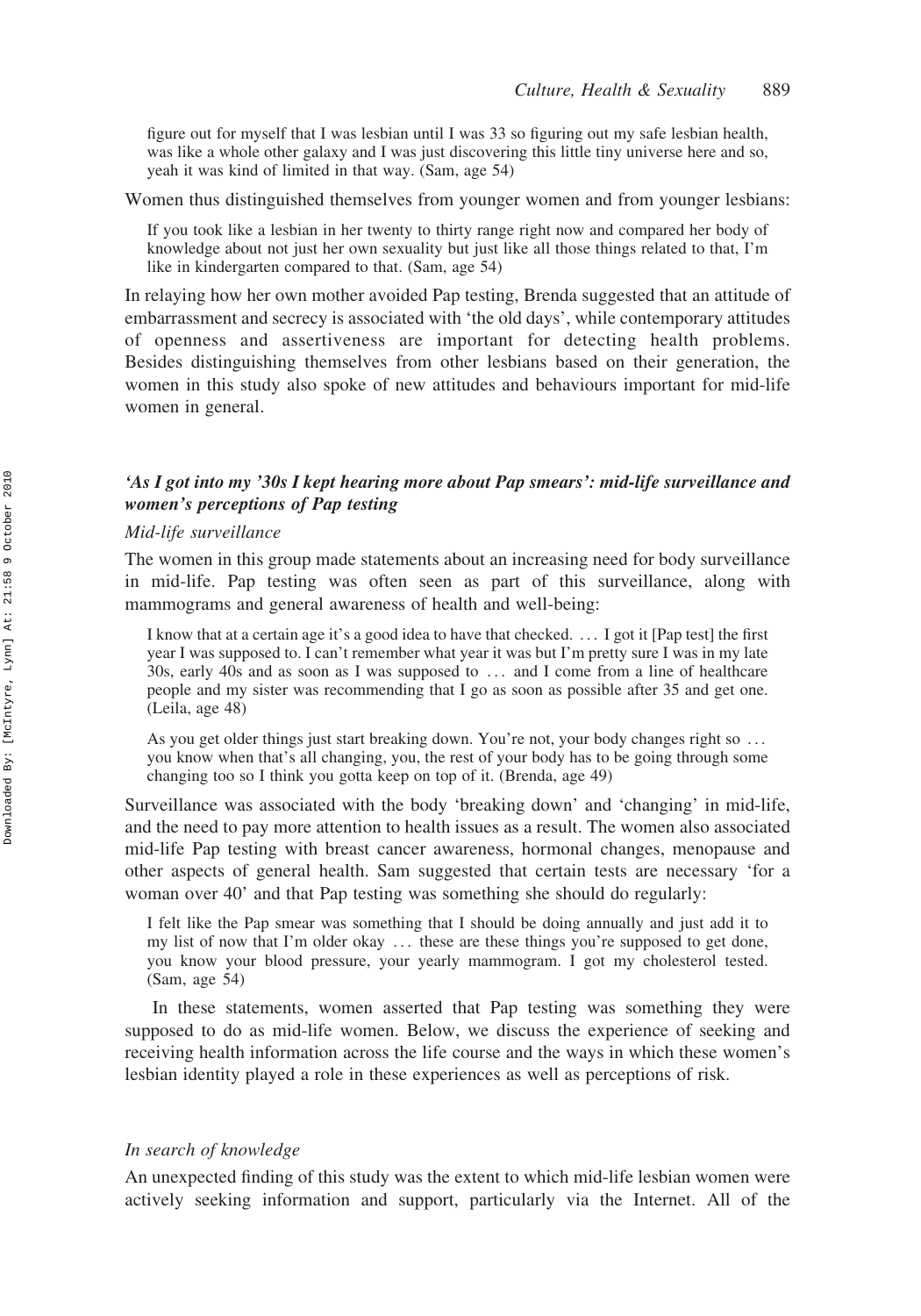figure out for myself that I was lesbian until I was 33 so figuring out my safe lesbian health, was like a whole other galaxy and I was just discovering this little tiny universe here and so, yeah it was kind of limited in that way. (Sam, age 54)

Women thus distinguished themselves from younger women and from younger lesbians:

If you took like a lesbian in her twenty to thirty range right now and compared her body of knowledge about not just her own sexuality but just like all those things related to that, I'm like in kindergarten compared to that. (Sam, age 54)

In relaying how her own mother avoided Pap testing, Brenda suggested that an attitude of embarrassment and secrecy is associated with 'the old days', while contemporary attitudes of openness and assertiveness are important for detecting health problems. Besides distinguishing themselves from other lesbians based on their generation, the women in this study also spoke of new attitudes and behaviours important for mid-life women in general.

# 'As I got into my '30s I kept hearing more about Pap smears': mid-life surveillance and women's perceptions of Pap testing

#### Mid-life surveillance

The women in this group made statements about an increasing need for body surveillance in mid-life. Pap testing was often seen as part of this surveillance, along with mammograms and general awareness of health and well-being:

I know that at a certain age it's a good idea to have that checked. ... I got it [Pap test] the first year I was supposed to. I can't remember what year it was but I'm pretty sure I was in my late 30s, early 40s and as soon as I was supposed to ... and I come from a line of healthcare people and my sister was recommending that I go as soon as possible after 35 and get one. (Leila, age 48)

As you get older things just start breaking down. You're not, your body changes right so ... you know when that's all changing, you, the rest of your body has to be going through some changing too so I think you gotta keep on top of it. (Brenda, age 49)

Surveillance was associated with the body 'breaking down' and 'changing' in mid-life, and the need to pay more attention to health issues as a result. The women also associated mid-life Pap testing with breast cancer awareness, hormonal changes, menopause and other aspects of general health. Sam suggested that certain tests are necessary 'for a woman over 40' and that Pap testing was something she should do regularly:

I felt like the Pap smear was something that I should be doing annually and just add it to my list of now that I'm older okay ... these are these things you're supposed to get done, you know your blood pressure, your yearly mammogram. I got my cholesterol tested. (Sam, age 54)

In these statements, women asserted that Pap testing was something they were supposed to do as mid-life women. Below, we discuss the experience of seeking and receiving health information across the life course and the ways in which these women's lesbian identity played a role in these experiences as well as perceptions of risk.

#### In search of knowledge

An unexpected finding of this study was the extent to which mid-life lesbian women were actively seeking information and support, particularly via the Internet. All of the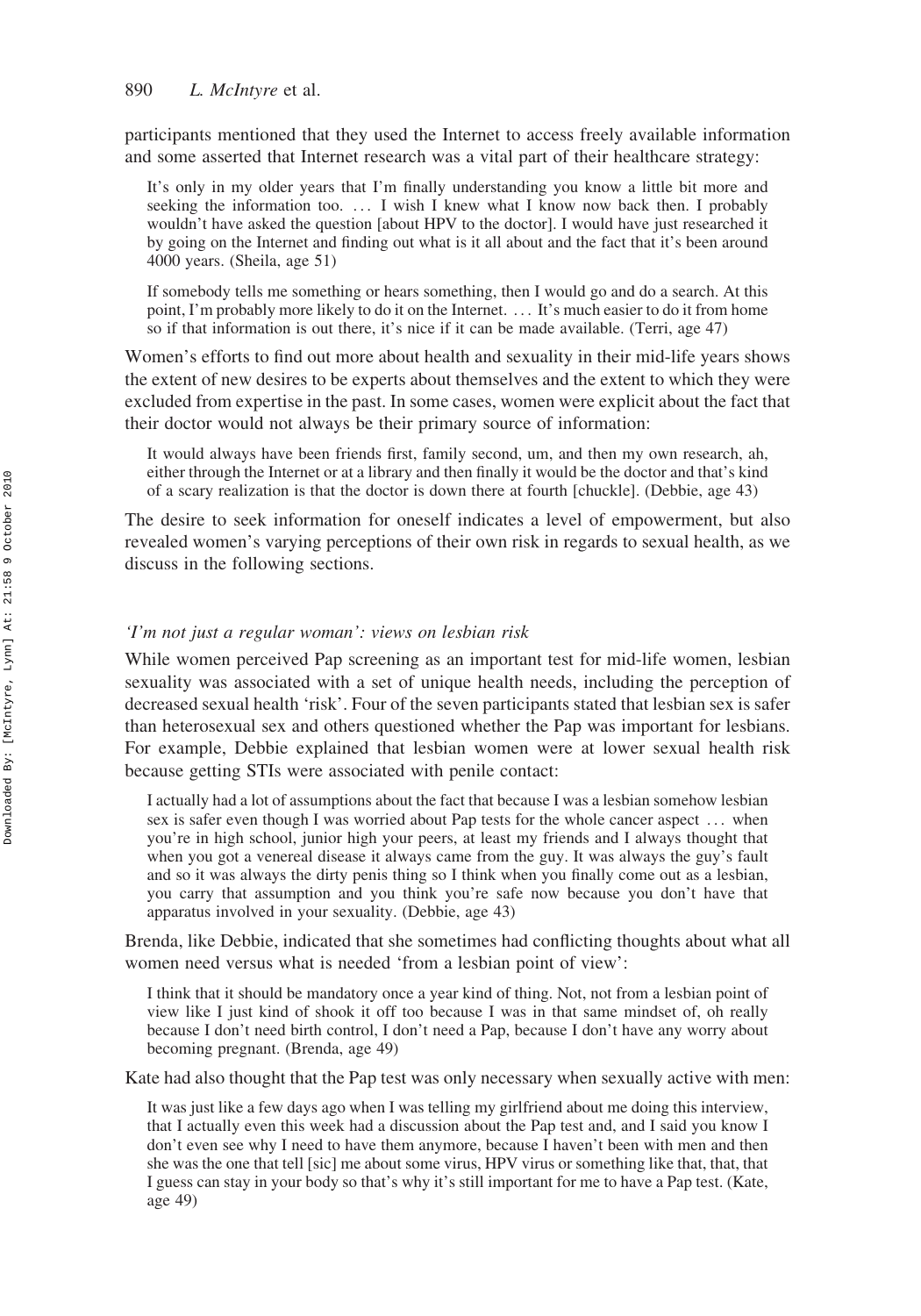participants mentioned that they used the Internet to access freely available information and some asserted that Internet research was a vital part of their healthcare strategy:

It's only in my older years that I'm finally understanding you know a little bit more and seeking the information too. ... I wish I knew what I know now back then. I probably wouldn't have asked the question [about HPV to the doctor]. I would have just researched it by going on the Internet and finding out what is it all about and the fact that it's been around 4000 years. (Sheila, age 51)

If somebody tells me something or hears something, then I would go and do a search. At this point, I'm probably more likely to do it on the Internet. ... It's much easier to do it from home so if that information is out there, it's nice if it can be made available. (Terri, age 47)

Women's efforts to find out more about health and sexuality in their mid-life years shows the extent of new desires to be experts about themselves and the extent to which they were excluded from expertise in the past. In some cases, women were explicit about the fact that their doctor would not always be their primary source of information:

It would always have been friends first, family second, um, and then my own research, ah, either through the Internet or at a library and then finally it would be the doctor and that's kind of a scary realization is that the doctor is down there at fourth [chuckle]. (Debbie, age 43)

The desire to seek information for oneself indicates a level of empowerment, but also revealed women's varying perceptions of their own risk in regards to sexual health, as we discuss in the following sections.

#### 'I'm not just a regular woman': views on lesbian risk

While women perceived Pap screening as an important test for mid-life women, lesbian sexuality was associated with a set of unique health needs, including the perception of decreased sexual health 'risk'. Four of the seven participants stated that lesbian sex is safer than heterosexual sex and others questioned whether the Pap was important for lesbians. For example, Debbie explained that lesbian women were at lower sexual health risk because getting STIs were associated with penile contact:

I actually had a lot of assumptions about the fact that because I was a lesbian somehow lesbian sex is safer even though I was worried about Pap tests for the whole cancer aspect ... when you're in high school, junior high your peers, at least my friends and I always thought that when you got a venereal disease it always came from the guy. It was always the guy's fault and so it was always the dirty penis thing so I think when you finally come out as a lesbian, you carry that assumption and you think you're safe now because you don't have that apparatus involved in your sexuality. (Debbie, age 43)

Brenda, like Debbie, indicated that she sometimes had conflicting thoughts about what all women need versus what is needed 'from a lesbian point of view':

I think that it should be mandatory once a year kind of thing. Not, not from a lesbian point of view like I just kind of shook it off too because I was in that same mindset of, oh really because I don't need birth control, I don't need a Pap, because I don't have any worry about becoming pregnant. (Brenda, age 49)

Kate had also thought that the Pap test was only necessary when sexually active with men:

It was just like a few days ago when I was telling my girlfriend about me doing this interview, that I actually even this week had a discussion about the Pap test and, and I said you know I don't even see why I need to have them anymore, because I haven't been with men and then she was the one that tell [sic] me about some virus, HPV virus or something like that, that, that I guess can stay in your body so that's why it's still important for me to have a Pap test. (Kate, age 49)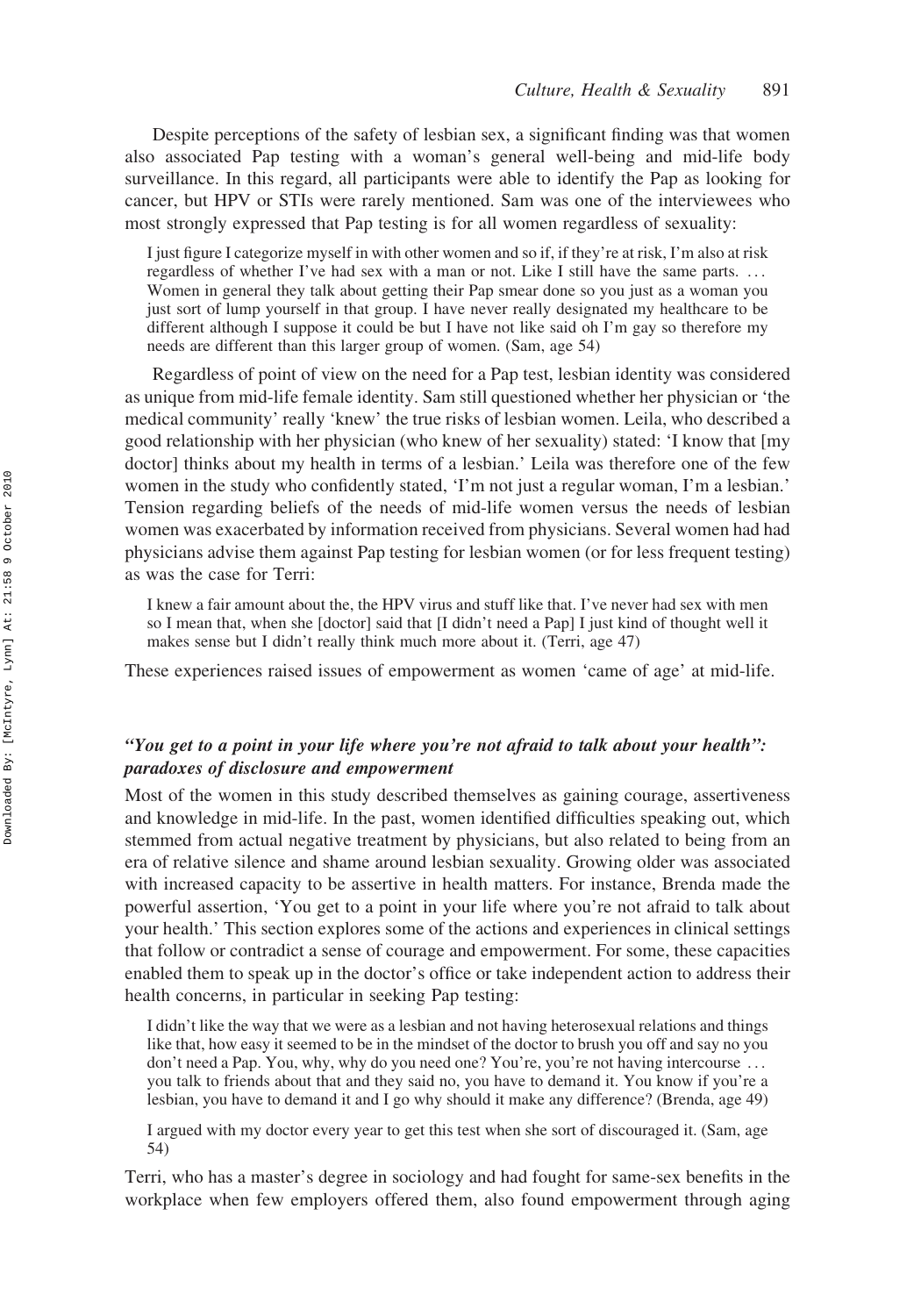Despite perceptions of the safety of lesbian sex, a significant finding was that women also associated Pap testing with a woman's general well-being and mid-life body surveillance. In this regard, all participants were able to identify the Pap as looking for cancer, but HPV or STIs were rarely mentioned. Sam was one of the interviewees who most strongly expressed that Pap testing is for all women regardless of sexuality:

I just figure I categorize myself in with other women and so if, if they're at risk, I'm also at risk regardless of whether I've had sex with a man or not. Like I still have the same parts. ... Women in general they talk about getting their Pap smear done so you just as a woman you just sort of lump yourself in that group. I have never really designated my healthcare to be different although I suppose it could be but I have not like said oh I'm gay so therefore my needs are different than this larger group of women. (Sam, age 54)

Regardless of point of view on the need for a Pap test, lesbian identity was considered as unique from mid-life female identity. Sam still questioned whether her physician or 'the medical community' really 'knew' the true risks of lesbian women. Leila, who described a good relationship with her physician (who knew of her sexuality) stated: 'I know that [my doctor] thinks about my health in terms of a lesbian.' Leila was therefore one of the few women in the study who confidently stated, 'I'm not just a regular woman, I'm a lesbian.' Tension regarding beliefs of the needs of mid-life women versus the needs of lesbian women was exacerbated by information received from physicians. Several women had had physicians advise them against Pap testing for lesbian women (or for less frequent testing) as was the case for Terri:

I knew a fair amount about the, the HPV virus and stuff like that. I've never had sex with men so I mean that, when she [doctor] said that [I didn't need a Pap] I just kind of thought well it makes sense but I didn't really think much more about it. (Terri, age 47)

These experiences raised issues of empowerment as women 'came of age' at mid-life.

# "You get to a point in your life where you're not afraid to talk about your health": paradoxes of disclosure and empowerment

Most of the women in this study described themselves as gaining courage, assertiveness and knowledge in mid-life. In the past, women identified difficulties speaking out, which stemmed from actual negative treatment by physicians, but also related to being from an era of relative silence and shame around lesbian sexuality. Growing older was associated with increased capacity to be assertive in health matters. For instance, Brenda made the powerful assertion, 'You get to a point in your life where you're not afraid to talk about your health.' This section explores some of the actions and experiences in clinical settings that follow or contradict a sense of courage and empowerment. For some, these capacities enabled them to speak up in the doctor's office or take independent action to address their health concerns, in particular in seeking Pap testing:

I didn't like the way that we were as a lesbian and not having heterosexual relations and things like that, how easy it seemed to be in the mindset of the doctor to brush you off and say no you don't need a Pap. You, why, why do you need one? You're, you're not having intercourse ... you talk to friends about that and they said no, you have to demand it. You know if you're a lesbian, you have to demand it and I go why should it make any difference? (Brenda, age 49)

I argued with my doctor every year to get this test when she sort of discouraged it. (Sam, age 54)

Terri, who has a master's degree in sociology and had fought for same-sex benefits in the workplace when few employers offered them, also found empowerment through aging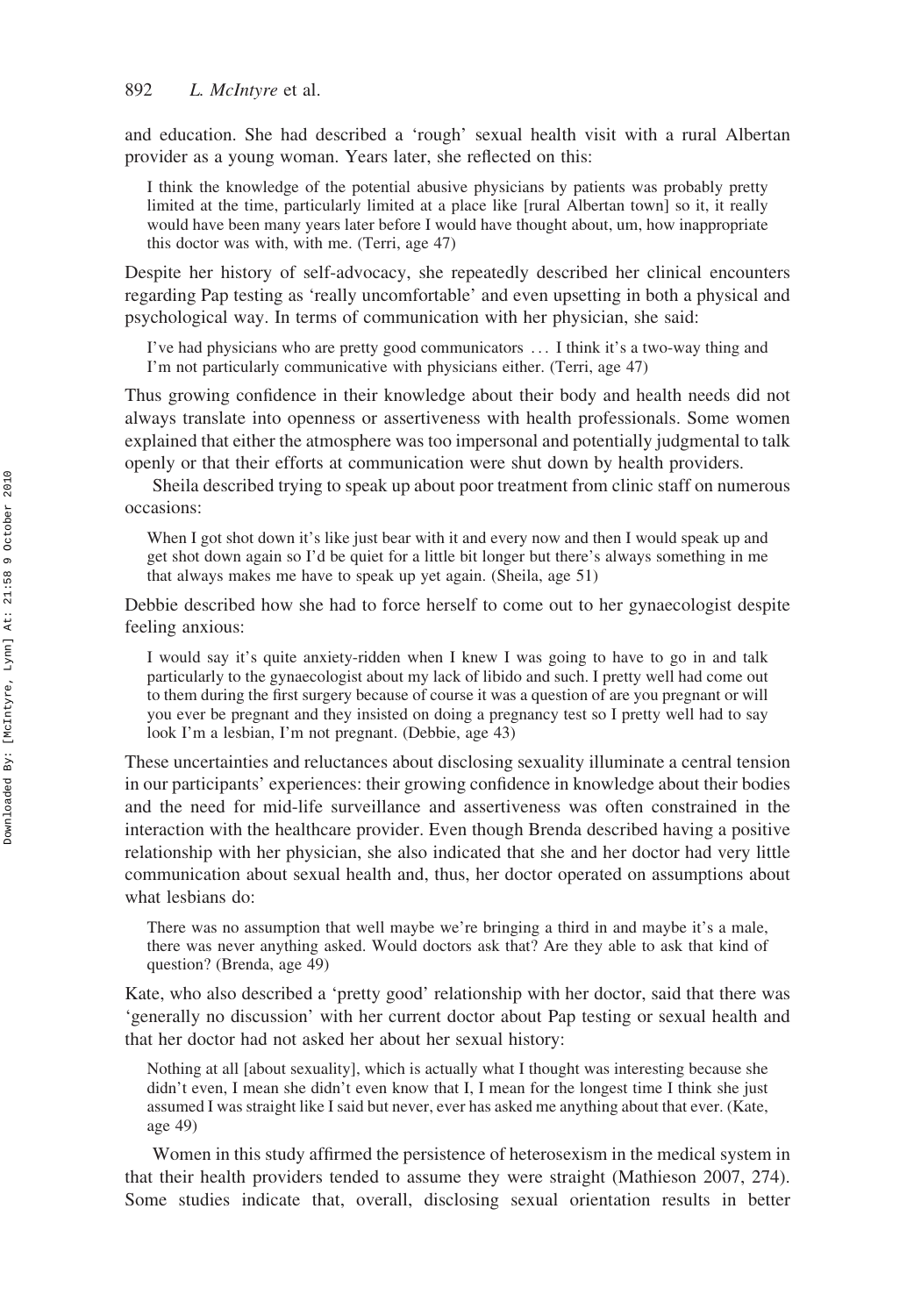and education. She had described a 'rough' sexual health visit with a rural Albertan provider as a young woman. Years later, she reflected on this:

I think the knowledge of the potential abusive physicians by patients was probably pretty limited at the time, particularly limited at a place like [rural Albertan town] so it, it really would have been many years later before I would have thought about, um, how inappropriate this doctor was with, with me. (Terri, age 47)

Despite her history of self-advocacy, she repeatedly described her clinical encounters regarding Pap testing as 'really uncomfortable' and even upsetting in both a physical and psychological way. In terms of communication with her physician, she said:

I've had physicians who are pretty good communicators ... I think it's a two-way thing and I'm not particularly communicative with physicians either. (Terri, age 47)

Thus growing confidence in their knowledge about their body and health needs did not always translate into openness or assertiveness with health professionals. Some women explained that either the atmosphere was too impersonal and potentially judgmental to talk openly or that their efforts at communication were shut down by health providers.

Sheila described trying to speak up about poor treatment from clinic staff on numerous occasions:

When I got shot down it's like just bear with it and every now and then I would speak up and get shot down again so I'd be quiet for a little bit longer but there's always something in me that always makes me have to speak up yet again. (Sheila, age 51)

Debbie described how she had to force herself to come out to her gynaecologist despite feeling anxious:

I would say it's quite anxiety-ridden when I knew I was going to have to go in and talk particularly to the gynaecologist about my lack of libido and such. I pretty well had come out to them during the first surgery because of course it was a question of are you pregnant or will you ever be pregnant and they insisted on doing a pregnancy test so I pretty well had to say look I'm a lesbian, I'm not pregnant. (Debbie, age 43)

These uncertainties and reluctances about disclosing sexuality illuminate a central tension in our participants' experiences: their growing confidence in knowledge about their bodies and the need for mid-life surveillance and assertiveness was often constrained in the interaction with the healthcare provider. Even though Brenda described having a positive relationship with her physician, she also indicated that she and her doctor had very little communication about sexual health and, thus, her doctor operated on assumptions about what lesbians do:

There was no assumption that well maybe we're bringing a third in and maybe it's a male, there was never anything asked. Would doctors ask that? Are they able to ask that kind of question? (Brenda, age 49)

Kate, who also described a 'pretty good' relationship with her doctor, said that there was 'generally no discussion' with her current doctor about Pap testing or sexual health and that her doctor had not asked her about her sexual history:

Nothing at all [about sexuality], which is actually what I thought was interesting because she didn't even, I mean she didn't even know that I, I mean for the longest time I think she just assumed I was straight like I said but never, ever has asked me anything about that ever. (Kate, age 49)

Women in this study affirmed the persistence of heterosexism in the medical system in that their health providers tended to assume they were straight (Mathieson 2007, 274). Some studies indicate that, overall, disclosing sexual orientation results in better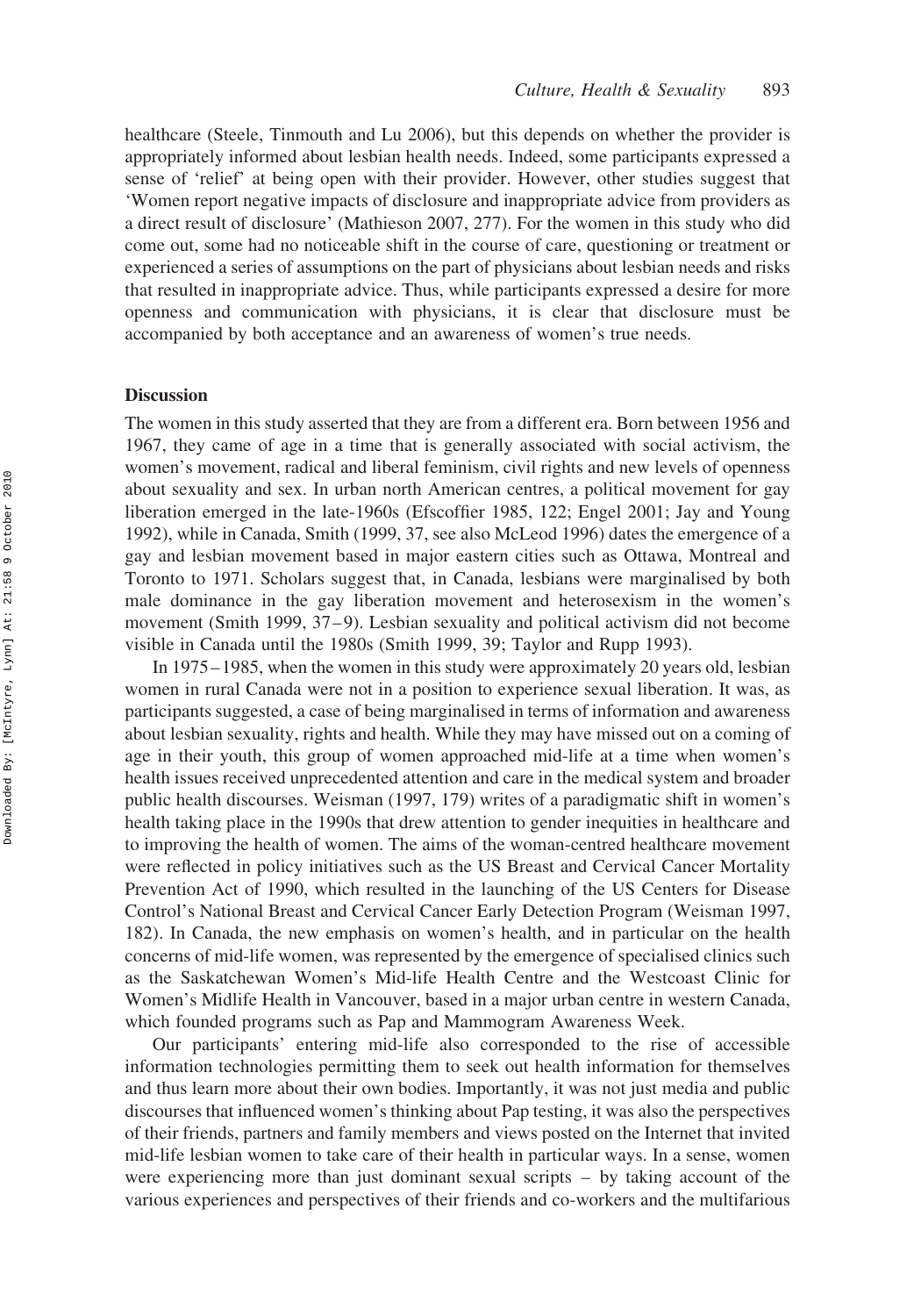healthcare (Steele, Tinmouth and Lu 2006), but this depends on whether the provider is appropriately informed about lesbian health needs. Indeed, some participants expressed a sense of 'relief' at being open with their provider. However, other studies suggest that 'Women report negative impacts of disclosure and inappropriate advice from providers as a direct result of disclosure' (Mathieson 2007, 277). For the women in this study who did come out, some had no noticeable shift in the course of care, questioning or treatment or experienced a series of assumptions on the part of physicians about lesbian needs and risks that resulted in inappropriate advice. Thus, while participants expressed a desire for more openness and communication with physicians, it is clear that disclosure must be accompanied by both acceptance and an awareness of women's true needs.

## **Discussion**

The women in this study asserted that they are from a different era. Born between 1956 and 1967, they came of age in a time that is generally associated with social activism, the women's movement, radical and liberal feminism, civil rights and new levels of openness about sexuality and sex. In urban north American centres, a political movement for gay liberation emerged in the late-1960s (Efscoffier 1985, 122; Engel 2001; Jay and Young 1992), while in Canada, Smith (1999, 37, see also McLeod 1996) dates the emergence of a gay and lesbian movement based in major eastern cities such as Ottawa, Montreal and Toronto to 1971. Scholars suggest that, in Canada, lesbians were marginalised by both male dominance in the gay liberation movement and heterosexism in the women's movement (Smith 1999, 37–9). Lesbian sexuality and political activism did not become visible in Canada until the 1980s (Smith 1999, 39; Taylor and Rupp 1993).

In 1975–1985, when the women in this study were approximately 20 years old, lesbian women in rural Canada were not in a position to experience sexual liberation. It was, as participants suggested, a case of being marginalised in terms of information and awareness about lesbian sexuality, rights and health. While they may have missed out on a coming of age in their youth, this group of women approached mid-life at a time when women's health issues received unprecedented attention and care in the medical system and broader public health discourses. Weisman (1997, 179) writes of a paradigmatic shift in women's health taking place in the 1990s that drew attention to gender inequities in healthcare and to improving the health of women. The aims of the woman-centred healthcare movement were reflected in policy initiatives such as the US Breast and Cervical Cancer Mortality Prevention Act of 1990, which resulted in the launching of the US Centers for Disease Control's National Breast and Cervical Cancer Early Detection Program (Weisman 1997, 182). In Canada, the new emphasis on women's health, and in particular on the health concerns of mid-life women, was represented by the emergence of specialised clinics such as the Saskatchewan Women's Mid-life Health Centre and the Westcoast Clinic for Women's Midlife Health in Vancouver, based in a major urban centre in western Canada, which founded programs such as Pap and Mammogram Awareness Week.

Our participants' entering mid-life also corresponded to the rise of accessible information technologies permitting them to seek out health information for themselves and thus learn more about their own bodies. Importantly, it was not just media and public discourses that influenced women's thinking about Pap testing, it was also the perspectives of their friends, partners and family members and views posted on the Internet that invited mid-life lesbian women to take care of their health in particular ways. In a sense, women were experiencing more than just dominant sexual scripts – by taking account of the various experiences and perspectives of their friends and co-workers and the multifarious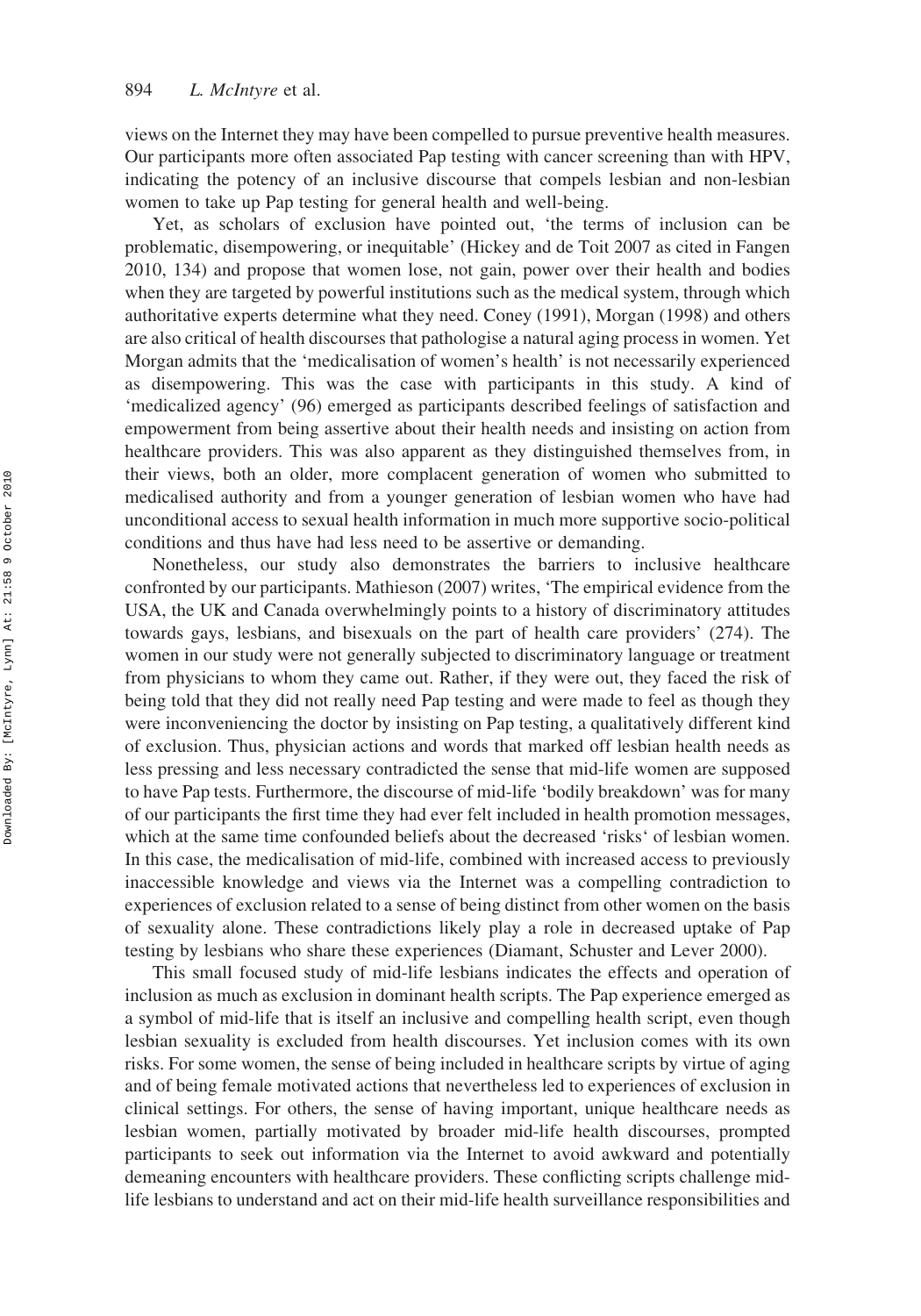views on the Internet they may have been compelled to pursue preventive health measures. Our participants more often associated Pap testing with cancer screening than with HPV, indicating the potency of an inclusive discourse that compels lesbian and non-lesbian women to take up Pap testing for general health and well-being.

Yet, as scholars of exclusion have pointed out, 'the terms of inclusion can be problematic, disempowering, or inequitable' (Hickey and de Toit 2007 as cited in Fangen 2010, 134) and propose that women lose, not gain, power over their health and bodies when they are targeted by powerful institutions such as the medical system, through which authoritative experts determine what they need. Coney (1991), Morgan (1998) and others are also critical of health discourses that pathologise a natural aging process in women. Yet Morgan admits that the 'medicalisation of women's health' is not necessarily experienced as disempowering. This was the case with participants in this study. A kind of 'medicalized agency' (96) emerged as participants described feelings of satisfaction and empowerment from being assertive about their health needs and insisting on action from healthcare providers. This was also apparent as they distinguished themselves from, in their views, both an older, more complacent generation of women who submitted to medicalised authority and from a younger generation of lesbian women who have had unconditional access to sexual health information in much more supportive socio-political conditions and thus have had less need to be assertive or demanding.

Nonetheless, our study also demonstrates the barriers to inclusive healthcare confronted by our participants. Mathieson (2007) writes, 'The empirical evidence from the USA, the UK and Canada overwhelmingly points to a history of discriminatory attitudes towards gays, lesbians, and bisexuals on the part of health care providers' (274). The women in our study were not generally subjected to discriminatory language or treatment from physicians to whom they came out. Rather, if they were out, they faced the risk of being told that they did not really need Pap testing and were made to feel as though they were inconveniencing the doctor by insisting on Pap testing, a qualitatively different kind of exclusion. Thus, physician actions and words that marked off lesbian health needs as less pressing and less necessary contradicted the sense that mid-life women are supposed to have Pap tests. Furthermore, the discourse of mid-life 'bodily breakdown' was for many of our participants the first time they had ever felt included in health promotion messages, which at the same time confounded beliefs about the decreased 'risks' of lesbian women. In this case, the medicalisation of mid-life, combined with increased access to previously inaccessible knowledge and views via the Internet was a compelling contradiction to experiences of exclusion related to a sense of being distinct from other women on the basis of sexuality alone. These contradictions likely play a role in decreased uptake of Pap testing by lesbians who share these experiences (Diamant, Schuster and Lever 2000).

This small focused study of mid-life lesbians indicates the effects and operation of inclusion as much as exclusion in dominant health scripts. The Pap experience emerged as a symbol of mid-life that is itself an inclusive and compelling health script, even though lesbian sexuality is excluded from health discourses. Yet inclusion comes with its own risks. For some women, the sense of being included in healthcare scripts by virtue of aging and of being female motivated actions that nevertheless led to experiences of exclusion in clinical settings. For others, the sense of having important, unique healthcare needs as lesbian women, partially motivated by broader mid-life health discourses, prompted participants to seek out information via the Internet to avoid awkward and potentially demeaning encounters with healthcare providers. These conflicting scripts challenge midlife lesbians to understand and act on their mid-life health surveillance responsibilities and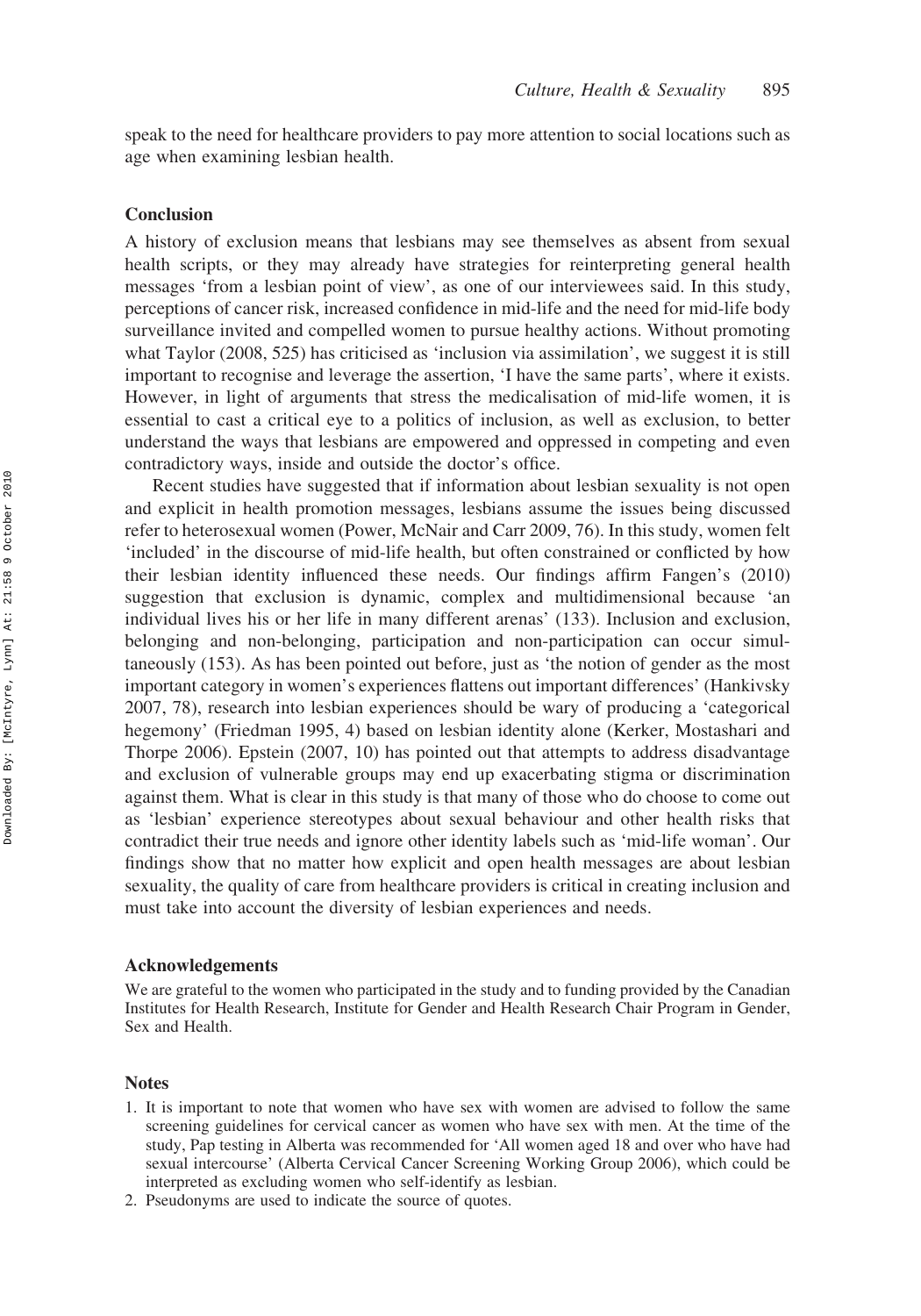speak to the need for healthcare providers to pay more attention to social locations such as age when examining lesbian health.

# Conclusion

A history of exclusion means that lesbians may see themselves as absent from sexual health scripts, or they may already have strategies for reinterpreting general health messages 'from a lesbian point of view', as one of our interviewees said. In this study, perceptions of cancer risk, increased confidence in mid-life and the need for mid-life body surveillance invited and compelled women to pursue healthy actions. Without promoting what Taylor (2008, 525) has criticised as 'inclusion via assimilation', we suggest it is still important to recognise and leverage the assertion, 'I have the same parts', where it exists. However, in light of arguments that stress the medicalisation of mid-life women, it is essential to cast a critical eye to a politics of inclusion, as well as exclusion, to better understand the ways that lesbians are empowered and oppressed in competing and even contradictory ways, inside and outside the doctor's office.

Recent studies have suggested that if information about lesbian sexuality is not open and explicit in health promotion messages, lesbians assume the issues being discussed refer to heterosexual women (Power, McNair and Carr 2009, 76). In this study, women felt 'included' in the discourse of mid-life health, but often constrained or conflicted by how their lesbian identity influenced these needs. Our findings affirm Fangen's (2010) suggestion that exclusion is dynamic, complex and multidimensional because 'an individual lives his or her life in many different arenas' (133). Inclusion and exclusion, belonging and non-belonging, participation and non-participation can occur simultaneously (153). As has been pointed out before, just as 'the notion of gender as the most important category in women's experiences flattens out important differences' (Hankivsky 2007, 78), research into lesbian experiences should be wary of producing a 'categorical hegemony' (Friedman 1995, 4) based on lesbian identity alone (Kerker, Mostashari and Thorpe 2006). Epstein (2007, 10) has pointed out that attempts to address disadvantage and exclusion of vulnerable groups may end up exacerbating stigma or discrimination against them. What is clear in this study is that many of those who do choose to come out as 'lesbian' experience stereotypes about sexual behaviour and other health risks that contradict their true needs and ignore other identity labels such as 'mid-life woman'. Our findings show that no matter how explicit and open health messages are about lesbian sexuality, the quality of care from healthcare providers is critical in creating inclusion and must take into account the diversity of lesbian experiences and needs.

#### Acknowledgements

We are grateful to the women who participated in the study and to funding provided by the Canadian Institutes for Health Research, Institute for Gender and Health Research Chair Program in Gender, Sex and Health.

#### Notes

- 1. It is important to note that women who have sex with women are advised to follow the same screening guidelines for cervical cancer as women who have sex with men. At the time of the study, Pap testing in Alberta was recommended for 'All women aged 18 and over who have had sexual intercourse' (Alberta Cervical Cancer Screening Working Group 2006), which could be interpreted as excluding women who self-identify as lesbian.
- 2. Pseudonyms are used to indicate the source of quotes.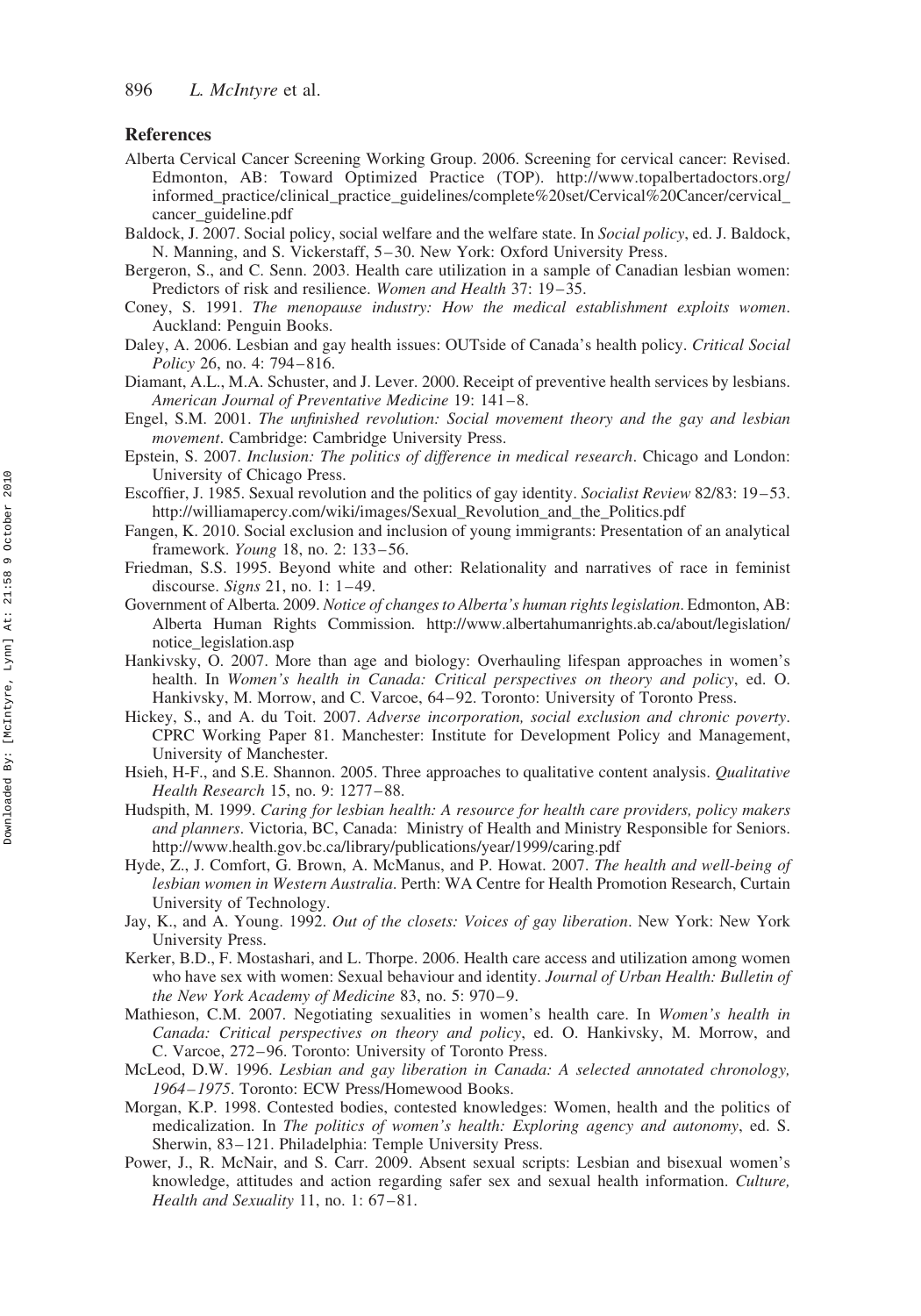#### References

- Alberta Cervical Cancer Screening Working Group. 2006. Screening for cervical cancer: Revised. Edmonton, AB: Toward Optimized Practice (TOP). http://www.topalbertadoctors.org/ informed\_practice/clinical\_practice\_guidelines/complete%20set/Cervical%20Cancer/cervical\_ cancer\_guideline.pdf
- Baldock, J. 2007. Social policy, social welfare and the welfare state. In Social policy, ed. J. Baldock, N. Manning, and S. Vickerstaff, 5–30. New York: Oxford University Press.
- Bergeron, S., and C. Senn. 2003. Health care utilization in a sample of Canadian lesbian women: Predictors of risk and resilience. Women and Health 37: 19–35.
- Coney, S. 1991. The menopause industry: How the medical establishment exploits women. Auckland: Penguin Books.
- Daley, A. 2006. Lesbian and gay health issues: OUTside of Canada's health policy. Critical Social Policy 26, no. 4: 794–816.
- Diamant, A.L., M.A. Schuster, and J. Lever. 2000. Receipt of preventive health services by lesbians. American Journal of Preventative Medicine 19: 141–8.
- Engel, S.M. 2001. The unfinished revolution: Social movement theory and the gay and lesbian movement. Cambridge: Cambridge University Press.
- Epstein, S. 2007. Inclusion: The politics of difference in medical research. Chicago and London: University of Chicago Press.
- Escoffier, J. 1985. Sexual revolution and the politics of gay identity. Socialist Review 82/83: 19–53. http://williamapercy.com/wiki/images/Sexual\_Revolution\_and\_the\_Politics.pdf
- Fangen, K. 2010. Social exclusion and inclusion of young immigrants: Presentation of an analytical framework. Young 18, no. 2: 133–56.
- Friedman, S.S. 1995. Beyond white and other: Relationality and narratives of race in feminist discourse. Signs 21, no. 1: 1–49.
- Government of Alberta. 2009. Notice of changes to Alberta's human rights legislation. Edmonton, AB: Alberta Human Rights Commission. http://www.albertahumanrights.ab.ca/about/legislation/ notice\_legislation.asp
- Hankivsky, O. 2007. More than age and biology: Overhauling lifespan approaches in women's health. In Women's health in Canada: Critical perspectives on theory and policy, ed. O. Hankivsky, M. Morrow, and C. Varcoe, 64–92. Toronto: University of Toronto Press.
- Hickey, S., and A. du Toit. 2007. Adverse incorporation, social exclusion and chronic poverty. CPRC Working Paper 81. Manchester: Institute for Development Policy and Management, University of Manchester.
- Hsieh, H-F., and S.E. Shannon. 2005. Three approaches to qualitative content analysis. Qualitative Health Research 15, no. 9: 1277–88.
- Hudspith, M. 1999. Caring for lesbian health: A resource for health care providers, policy makers and planners. Victoria, BC, Canada: Ministry of Health and Ministry Responsible for Seniors. http://www.health.gov.bc.ca/library/publications/year/1999/caring.pdf
- Hyde, Z., J. Comfort, G. Brown, A. McManus, and P. Howat. 2007. The health and well-being of lesbian women in Western Australia. Perth: WA Centre for Health Promotion Research, Curtain University of Technology.
- Jay, K., and A. Young. 1992. Out of the closets: Voices of gay liberation. New York: New York University Press.
- Kerker, B.D., F. Mostashari, and L. Thorpe. 2006. Health care access and utilization among women who have sex with women: Sexual behaviour and identity. Journal of Urban Health: Bulletin of the New York Academy of Medicine 83, no. 5: 970–9.
- Mathieson, C.M. 2007. Negotiating sexualities in women's health care. In Women's health in Canada: Critical perspectives on theory and policy, ed. O. Hankivsky, M. Morrow, and C. Varcoe, 272–96. Toronto: University of Toronto Press.
- McLeod, D.W. 1996. Lesbian and gay liberation in Canada: A selected annotated chronology, 1964– 1975. Toronto: ECW Press/Homewood Books.
- Morgan, K.P. 1998. Contested bodies, contested knowledges: Women, health and the politics of medicalization. In The politics of women's health: Exploring agency and autonomy, ed. S. Sherwin, 83–121. Philadelphia: Temple University Press.
- Power, J., R. McNair, and S. Carr. 2009. Absent sexual scripts: Lesbian and bisexual women's knowledge, attitudes and action regarding safer sex and sexual health information. Culture, Health and Sexuality 11, no. 1: 67–81.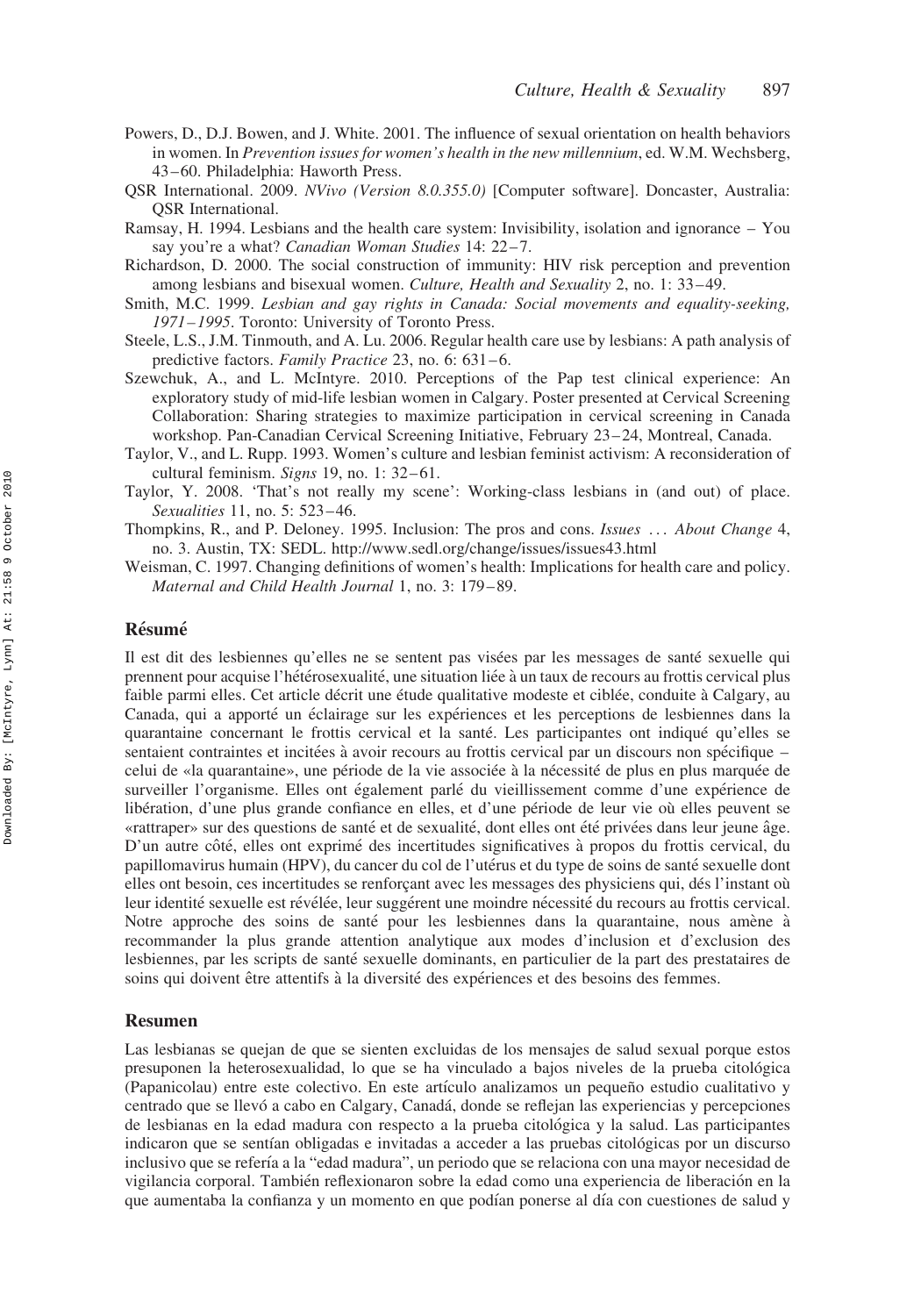- Powers, D., D.J. Bowen, and J. White. 2001. The influence of sexual orientation on health behaviors in women. In Prevention issues for women's health in the new millennium, ed. W.M. Wechsberg, 43–60. Philadelphia: Haworth Press.
- QSR International. 2009. NVivo (Version 8.0.355.0) [Computer software]. Doncaster, Australia: QSR International.
- Ramsay, H. 1994. Lesbians and the health care system: Invisibility, isolation and ignorance You say you're a what? Canadian Woman Studies 14: 22-7.
- Richardson, D. 2000. The social construction of immunity: HIV risk perception and prevention among lesbians and bisexual women. Culture, Health and Sexuality 2, no. 1: 33–49.
- Smith, M.C. 1999. Lesbian and gay rights in Canada: Social movements and equality-seeking, 1971– 1995. Toronto: University of Toronto Press.
- Steele, L.S., J.M. Tinmouth, and A. Lu. 2006. Regular health care use by lesbians: A path analysis of predictive factors. Family Practice 23, no. 6: 631–6.
- Szewchuk, A., and L. McIntyre. 2010. Perceptions of the Pap test clinical experience: An exploratory study of mid-life lesbian women in Calgary. Poster presented at Cervical Screening Collaboration: Sharing strategies to maximize participation in cervical screening in Canada workshop. Pan-Canadian Cervical Screening Initiative, February 23–24, Montreal, Canada.
- Taylor, V., and L. Rupp. 1993. Women's culture and lesbian feminist activism: A reconsideration of cultural feminism. Signs 19, no. 1: 32–61.
- Taylor, Y. 2008. 'That's not really my scene': Working-class lesbians in (and out) of place. Sexualities 11, no. 5: 523–46.
- Thompkins, R., and P. Deloney. 1995. Inclusion: The pros and cons. Issues ... About Change 4, no. 3. Austin, TX: SEDL. http://www.sedl.org/change/issues/issues43.html
- Weisman, C. 1997. Changing definitions of women's health: Implications for health care and policy. Maternal and Child Health Journal 1, no. 3: 179–89.

## Résumé

Il est dit des lesbiennes qu'elles ne se sentent pas visées par les messages de santé sexuelle qui prennent pour acquise l'hétérosexualité, une situation liée à un taux de recours au frottis cervical plus faible parmi elles. Cet article décrit une étude qualitative modeste et ciblée, conduite à Calgary, au Canada, qui a apporté un éclairage sur les expériences et les perceptions de lesbiennes dans la quarantaine concernant le frottis cervical et la santé. Les participantes ont indiqué qu'elles se sentaient contraintes et incitées à avoir recours au frottis cervical par un discours non spécifique – celui de «la quarantaine», une période de la vie associée à la nécessité de plus en plus marquée de surveiller l'organisme. Elles ont également parlé du vieillissement comme d'une expérience de libération, d'une plus grande confiance en elles, et d'une période de leur vie où elles peuvent se «rattraper» sur des questions de santé et de sexualité, dont elles ont été privées dans leur jeune âge. D'un autre côté, elles ont exprimé des incertitudes significatives à propos du frottis cervical, du papillomavirus humain (HPV), du cancer du col de l'utérus et du type de soins de santé sexuelle dont elles ont besoin, ces incertitudes se renforcant avec les messages des physiciens qui, dés l'instant où leur identité sexuelle est révélée, leur suggérent une moindre nécessité du recours au frottis cervical. Notre approche des soins de santé pour les lesbiennes dans la quarantaine, nous amène à recommander la plus grande attention analytique aux modes d'inclusion et d'exclusion des lesbiennes, par les scripts de santé sexuelle dominants, en particulier de la part des prestataires de soins qui doivent être attentifs à la diversité des expériences et des besoins des femmes.

#### Resumen

Las lesbianas se quejan de que se sienten excluidas de los mensajes de salud sexual porque estos presuponen la heterosexualidad, lo que se ha vinculado a bajos niveles de la prueba citológica (Papanicolau) entre este colectivo. En este artı´culo analizamos un pequen˜o estudio cualitativo y centrado que se llevó a cabo en Calgary, Canadá, donde se reflejan las experiencias y percepciones de lesbianas en la edad madura con respecto a la prueba citológica y la salud. Las participantes indicaron que se sentían obligadas e invitadas a acceder a las pruebas citológicas por un discurso inclusivo que se refería a la "edad madura", un periodo que se relaciona con una mayor necesidad de vigilancia corporal. También reflexionaron sobre la edad como una experiencia de liberación en la que aumentaba la confianza y un momento en que podían ponerse al día con cuestiones de salud y